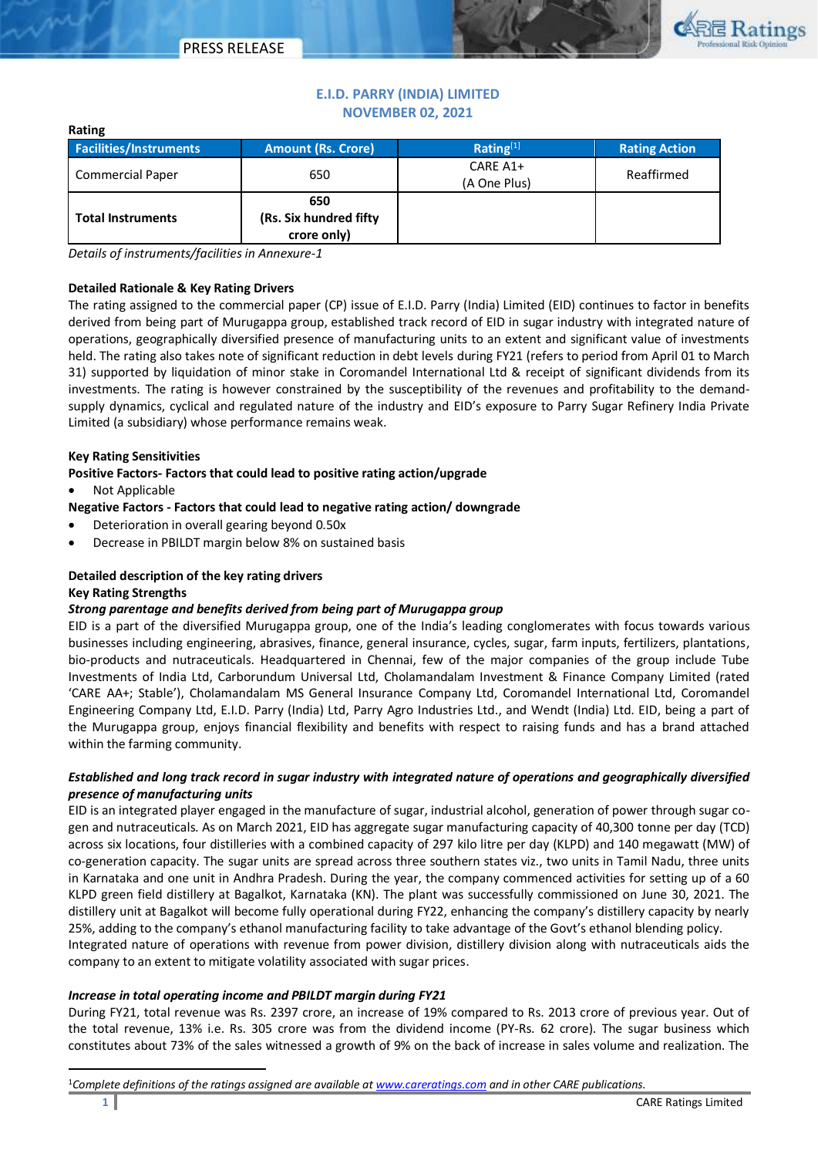

# **E.I.D. PARRY (INDIA) LIMITED NOVEMBER 02, 2021**

| <b>Facilities/Instruments</b> | <b>Amount (Rs. Crore)</b>                    | Rating <sup>[1]</sup>    | <b>Rating Action</b> |  |  |  |
|-------------------------------|----------------------------------------------|--------------------------|----------------------|--|--|--|
| <b>Commercial Paper</b>       | 650                                          | CARE A1+<br>(A One Plus) | Reaffirmed           |  |  |  |
| <b>Total Instruments</b>      | 650<br>(Rs. Six hundred fifty<br>crore only) |                          |                      |  |  |  |

*Details of instruments/facilities in Annexure-1*

## **Detailed Rationale & Key Rating Drivers**

The rating assigned to the commercial paper (CP) issue of E.I.D. Parry (India) Limited (EID) continues to factor in benefits derived from being part of Murugappa group, established track record of EID in sugar industry with integrated nature of operations, geographically diversified presence of manufacturing units to an extent and significant value of investments held. The rating also takes note of significant reduction in debt levels during FY21 (refers to period from April 01 to March 31) supported by liquidation of minor stake in Coromandel International Ltd & receipt of significant dividends from its investments. The rating is however constrained by the susceptibility of the revenues and profitability to the demandsupply dynamics, cyclical and regulated nature of the industry and EID's exposure to Parry Sugar Refinery India Private Limited (a subsidiary) whose performance remains weak.

## **Key Rating Sensitivities**

**Positive Factors- Factors that could lead to positive rating action/upgrade**

Not Applicable

**Rating**

**Negative Factors - Factors that could lead to negative rating action/ downgrade** 

- Deterioration in overall gearing beyond 0.50x
- Decrease in PBILDT margin below 8% on sustained basis

## **Detailed description of the key rating drivers**

## **Key Rating Strengths**

 $\ddot{\phantom{a}}$ 

## *Strong parentage and benefits derived from being part of Murugappa group*

EID is a part of the diversified Murugappa group, one of the India's leading conglomerates with focus towards various businesses including engineering, abrasives, finance, general insurance, cycles, sugar, farm inputs, fertilizers, plantations, bio-products and nutraceuticals. Headquartered in Chennai, few of the major companies of the group include Tube Investments of India Ltd, Carborundum Universal Ltd, Cholamandalam Investment & Finance Company Limited (rated 'CARE AA+; Stable'), Cholamandalam MS General Insurance Company Ltd, Coromandel International Ltd, Coromandel Engineering Company Ltd, E.I.D. Parry (India) Ltd, Parry Agro Industries Ltd., and Wendt (India) Ltd. EID, being a part of the Murugappa group, enjoys financial flexibility and benefits with respect to raising funds and has a brand attached within the farming community.

## *Established and long track record in sugar industry with integrated nature of operations and geographically diversified presence of manufacturing units*

EID is an integrated player engaged in the manufacture of sugar, industrial alcohol, generation of power through sugar cogen and nutraceuticals. As on March 2021, EID has aggregate sugar manufacturing capacity of 40,300 tonne per day (TCD) across six locations, four distilleries with a combined capacity of 297 kilo litre per day (KLPD) and 140 megawatt (MW) of co-generation capacity. The sugar units are spread across three southern states viz., two units in Tamil Nadu, three units in Karnataka and one unit in Andhra Pradesh. During the year, the company commenced activities for setting up of a 60 KLPD green field distillery at Bagalkot, Karnataka (KN). The plant was successfully commissioned on June 30, 2021. The distillery unit at Bagalkot will become fully operational during FY22, enhancing the company's distillery capacity by nearly 25%, adding to the company's ethanol manufacturing facility to take advantage of the Govt's ethanol blending policy.

Integrated nature of operations with revenue from power division, distillery division along with nutraceuticals aids the company to an extent to mitigate volatility associated with sugar prices.

## *Increase in total operating income and PBILDT margin during FY21*

During FY21, total revenue was Rs. 2397 crore, an increase of 19% compared to Rs. 2013 crore of previous year. Out of the total revenue, 13% i.e. Rs. 305 crore was from the dividend income (PY-Rs. 62 crore). The sugar business which constitutes about 73% of the sales witnessed a growth of 9% on the back of increase in sales volume and realization. The

<sup>1</sup>*Complete definitions of the ratings assigned are available a[t www.careratings.com](http://www.careratings.com/) and in other CARE publications.*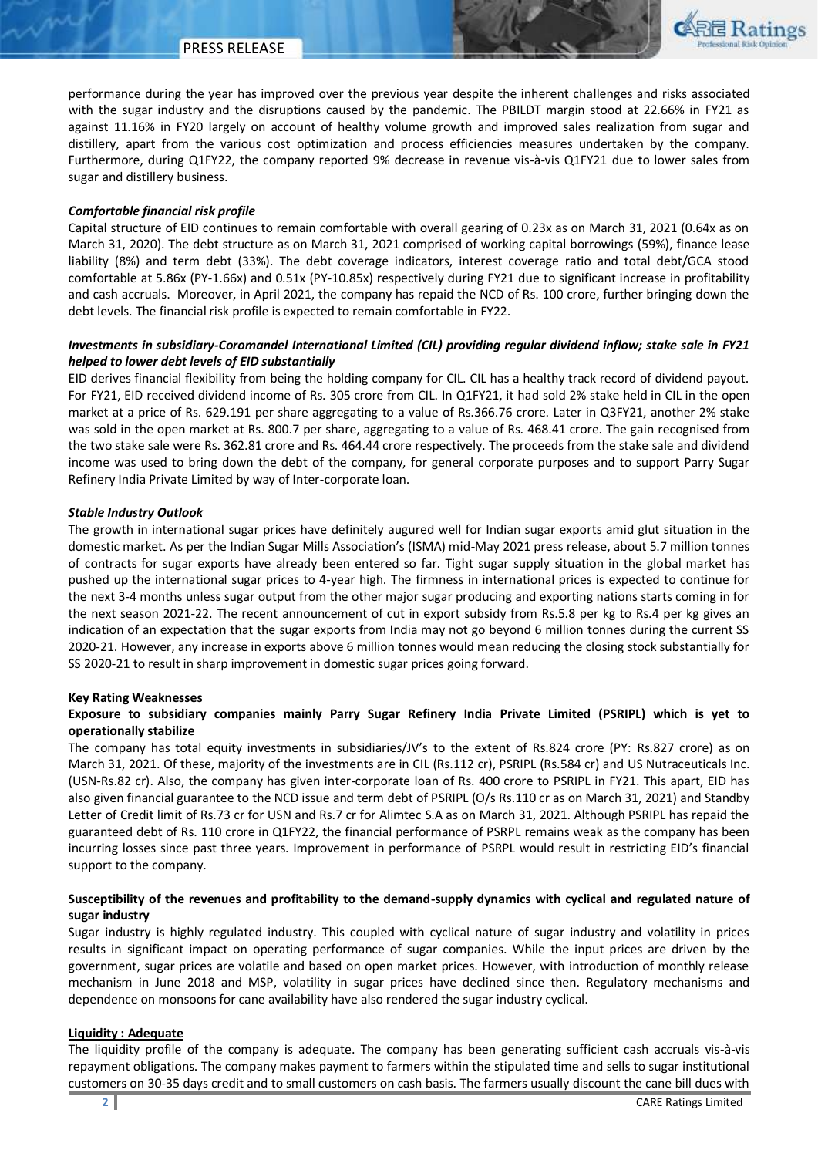

performance during the year has improved over the previous year despite the inherent challenges and risks associated with the sugar industry and the disruptions caused by the pandemic. The PBILDT margin stood at 22.66% in FY21 as against 11.16% in FY20 largely on account of healthy volume growth and improved sales realization from sugar and distillery, apart from the various cost optimization and process efficiencies measures undertaken by the company. Furthermore, during Q1FY22, the company reported 9% decrease in revenue vis-à-vis Q1FY21 due to lower sales from sugar and distillery business.

#### *Comfortable financial risk profile*

Capital structure of EID continues to remain comfortable with overall gearing of 0.23x as on March 31, 2021 (0.64x as on March 31, 2020). The debt structure as on March 31, 2021 comprised of working capital borrowings (59%), finance lease liability (8%) and term debt (33%). The debt coverage indicators, interest coverage ratio and total debt/GCA stood comfortable at 5.86x (PY-1.66x) and 0.51x (PY-10.85x) respectively during FY21 due to significant increase in profitability and cash accruals. Moreover, in April 2021, the company has repaid the NCD of Rs. 100 crore, further bringing down the debt levels. The financial risk profile is expected to remain comfortable in FY22.

## *Investments in subsidiary-Coromandel International Limited (CIL) providing regular dividend inflow; stake sale in FY21 helped to lower debt levels of EID substantially*

EID derives financial flexibility from being the holding company for CIL. CIL has a healthy track record of dividend payout. For FY21, EID received dividend income of Rs. 305 crore from CIL. In Q1FY21, it had sold 2% stake held in CIL in the open market at a price of Rs. 629.191 per share aggregating to a value of Rs.366.76 crore. Later in Q3FY21, another 2% stake was sold in the open market at Rs. 800.7 per share, aggregating to a value of Rs. 468.41 crore. The gain recognised from the two stake sale were Rs. 362.81 crore and Rs. 464.44 crore respectively. The proceeds from the stake sale and dividend income was used to bring down the debt of the company, for general corporate purposes and to support Parry Sugar Refinery India Private Limited by way of Inter-corporate loan.

## *Stable Industry Outlook*

The growth in international sugar prices have definitely augured well for Indian sugar exports amid glut situation in the domestic market. As per the Indian Sugar Mills Association's (ISMA) mid-May 2021 press release, about 5.7 million tonnes of contracts for sugar exports have already been entered so far. Tight sugar supply situation in the global market has pushed up the international sugar prices to 4-year high. The firmness in international prices is expected to continue for the next 3-4 months unless sugar output from the other major sugar producing and exporting nations starts coming in for the next season 2021-22. The recent announcement of cut in export subsidy from Rs.5.8 per kg to Rs.4 per kg gives an indication of an expectation that the sugar exports from India may not go beyond 6 million tonnes during the current SS 2020-21. However, any increase in exports above 6 million tonnes would mean reducing the closing stock substantially for SS 2020-21 to result in sharp improvement in domestic sugar prices going forward.

#### **Key Rating Weaknesses**

## **Exposure to subsidiary companies mainly Parry Sugar Refinery India Private Limited (PSRIPL) which is yet to operationally stabilize**

The company has total equity investments in subsidiaries/JV's to the extent of Rs.824 crore (PY: Rs.827 crore) as on March 31, 2021. Of these, majority of the investments are in CIL (Rs.112 cr), PSRIPL (Rs.584 cr) and US Nutraceuticals Inc. (USN-Rs.82 cr). Also, the company has given inter-corporate loan of Rs. 400 crore to PSRIPL in FY21. This apart, EID has also given financial guarantee to the NCD issue and term debt of PSRIPL (O/s Rs.110 cr as on March 31, 2021) and Standby Letter of Credit limit of Rs.73 cr for USN and Rs.7 cr for Alimtec S.A as on March 31, 2021. Although PSRIPL has repaid the guaranteed debt of Rs. 110 crore in Q1FY22, the financial performance of PSRPL remains weak as the company has been incurring losses since past three years. Improvement in performance of PSRPL would result in restricting EID's financial support to the company.

## **Susceptibility of the revenues and profitability to the demand-supply dynamics with cyclical and regulated nature of sugar industry**

Sugar industry is highly regulated industry. This coupled with cyclical nature of sugar industry and volatility in prices results in significant impact on operating performance of sugar companies. While the input prices are driven by the government, sugar prices are volatile and based on open market prices. However, with introduction of monthly release mechanism in June 2018 and MSP, volatility in sugar prices have declined since then. Regulatory mechanisms and dependence on monsoons for cane availability have also rendered the sugar industry cyclical.

#### **Liquidity : Adequate**

The liquidity profile of the company is adequate. The company has been generating sufficient cash accruals vis-à-vis repayment obligations. The company makes payment to farmers within the stipulated time and sells to sugar institutional customers on 30-35 days credit and to small customers on cash basis. The farmers usually discount the cane bill dues with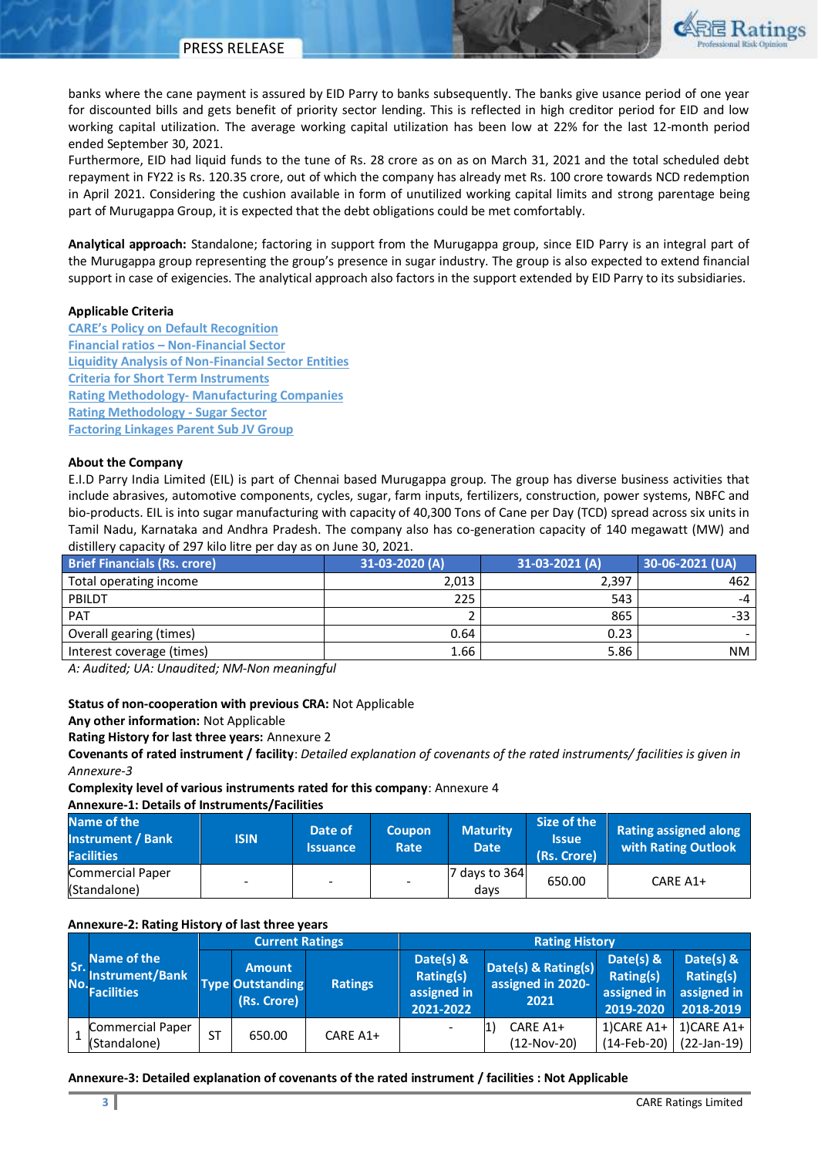

banks where the cane payment is assured by EID Parry to banks subsequently. The banks give usance period of one year for discounted bills and gets benefit of priority sector lending. This is reflected in high creditor period for EID and low working capital utilization. The average working capital utilization has been low at 22% for the last 12-month period ended September 30, 2021.

Furthermore, EID had liquid funds to the tune of Rs. 28 crore as on as on March 31, 2021 and the total scheduled debt repayment in FY22 is Rs. 120.35 crore, out of which the company has already met Rs. 100 crore towards NCD redemption in April 2021. Considering the cushion available in form of unutilized working capital limits and strong parentage being part of Murugappa Group, it is expected that the debt obligations could be met comfortably.

**Analytical approach:** Standalone; factoring in support from the Murugappa group, since EID Parry is an integral part of the Murugappa group representing the group's presence in sugar industry. The group is also expected to extend financial support in case of exigencies. The analytical approach also factors in the support extended by EID Parry to its subsidiaries.

## **Applicable Criteria**

**[CARE's Policy on Default Recognition](https://www.careratings.com/pdf/resources/CARE) Financial ratios – [Non-Financial Sector](https://www.careratings.com/pdf/resources/Financial%20ratios%20-%20Non%20Financial%20Sector_March2021.pdf) [Liquidity Analysis of Non-Financial Sector Entities](https://www.careratings.com/pdf/resources/Liquidity%20Analysis%20of%20Non-Financial%20Sector%20entities_May2020.pdf) [Criteria for Short Term Instruments](https://www.careratings.com/upload/NewsFiles/GetRated/Short%20Term%20Instruments%20_February2021.pdf) Rating Methodology- [Manufacturing Companies](https://www.careratings.com/upload/NewsFiles/GetRated/Rating%20Methodology-Manufacturing%20Companies_December2020.pdf) [Rating Methodology -](https://www.careratings.com/upload/NewsFiles/GetRated/Rating%20Methodology-Sugar%20Sector_December2020.pdf) Sugar Sector [Factoring Linkages Parent Sub JV Group](https://www.careratings.com/upload/NewsFiles/GetRated/Rating%20Methodology-Parent%20Sub%20JV%20Group_October2020.pdf)**

## **About the Company**

E.I.D Parry India Limited (EIL) is part of Chennai based Murugappa group. The group has diverse business activities that include abrasives, automotive components, cycles, sugar, farm inputs, fertilizers, construction, power systems, NBFC and bio-products. EIL is into sugar manufacturing with capacity of 40,300 Tons of Cane per Day (TCD) spread across six units in Tamil Nadu, Karnataka and Andhra Pradesh. The company also has co-generation capacity of 140 megawatt (MW) and distillery capacity of 297 kilo litre per day as on June 30, 2021.

| <b>Brief Financials (Rs. crore)</b> | 31-03-2020 (A) | 31-03-2021 (A) | 30-06-2021 (UA) |
|-------------------------------------|----------------|----------------|-----------------|
| Total operating income              | 2.013          | 2.397          | 462             |
| PBILDT                              | 225            | 543            | $-4$            |
| <b>PAT</b>                          |                | 865            | -33             |
| Overall gearing (times)             | 0.64           | 0.23           |                 |
| Interest coverage (times)           | 1.66           | 5.86           | <b>NM</b>       |

*A: Audited; UA: Unaudited; NM-Non meaningful* 

#### **Status of non-cooperation with previous CRA:** Not Applicable

**Any other information:** Not Applicable

**Rating History for last three years:** Annexure 2

**Covenants of rated instrument / facility**: *Detailed explanation of covenants of the rated instruments/ facilities is given in Annexure-3*

**Complexity level of various instruments rated for this company**: Annexure 4

**Annexure-1: Details of Instruments/Facilities**

| Name of the<br><b>Instrument / Bank</b><br><b>Facilities</b> | <b>ISIN</b> | Date of<br><b>Issuance</b> | Coupon<br>Rate           | <b>Maturity</b><br><b>Date</b> | Size of the<br>llssue !<br>(Rs. Crore) | <b>Rating assigned along</b><br>with Rating Outlook |
|--------------------------------------------------------------|-------------|----------------------------|--------------------------|--------------------------------|----------------------------------------|-----------------------------------------------------|
| Commercial Paper<br>(Standalone)                             |             | -                          | $\overline{\phantom{a}}$ | 7 days to 364<br>davs          | 650.00                                 | CARE A1+                                            |

#### **Annexure-2: Rating History of last three years**

|            |                                                            | <b>Current Ratings</b> |                                                         | <b>Rating History</b> |                                                           |                                                  |                                                      |                                                    |
|------------|------------------------------------------------------------|------------------------|---------------------------------------------------------|-----------------------|-----------------------------------------------------------|--------------------------------------------------|------------------------------------------------------|----------------------------------------------------|
| Sr.<br>No. | Name of the<br><b>Instrument/Bank</b><br><b>Facilities</b> |                        | <b>Amount</b><br><b>Type Outstanding</b><br>(Rs. Crore) | <b>Ratings</b>        | Date(s) &<br><b>Rating(s)</b><br>assigned in<br>2021-2022 | Date(s) & Rating(s)<br>assigned in 2020-<br>2021 | Date(s) $8$<br>Rating(s)<br>assigned in<br>2019-2020 | Date(s) &<br>Rating(s)<br>assigned in<br>2018-2019 |
|            | <b>Commercial Paper</b><br>(Standalone)                    | <b>ST</b>              | 650.00                                                  | CARE A1+              |                                                           | CARE A1+<br>(12-Nov-20)                          | $1)$ CARE A1+<br>$(14-Feb-20)$                       | 1)CARE A1+<br>$(22-Jan-19)$                        |

#### **Annexure-3: Detailed explanation of covenants of the rated instrument / facilities : Not Applicable**